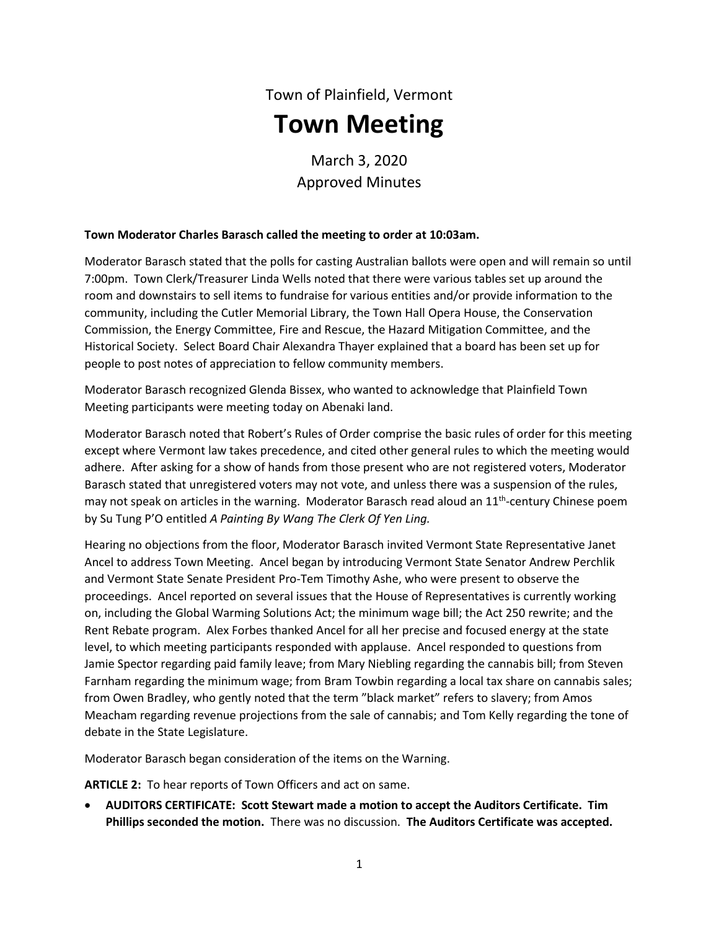# Town of Plainfield, Vermont **Town Meeting**

March 3, 2020 Approved Minutes

## **Town Moderator Charles Barasch called the meeting to order at 10:03am.**

Moderator Barasch stated that the polls for casting Australian ballots were open and will remain so until 7:00pm. Town Clerk/Treasurer Linda Wells noted that there were various tables set up around the room and downstairs to sell items to fundraise for various entities and/or provide information to the community, including the Cutler Memorial Library, the Town Hall Opera House, the Conservation Commission, the Energy Committee, Fire and Rescue, the Hazard Mitigation Committee, and the Historical Society. Select Board Chair Alexandra Thayer explained that a board has been set up for people to post notes of appreciation to fellow community members.

Moderator Barasch recognized Glenda Bissex, who wanted to acknowledge that Plainfield Town Meeting participants were meeting today on Abenaki land.

Moderator Barasch noted that Robert's Rules of Order comprise the basic rules of order for this meeting except where Vermont law takes precedence, and cited other general rules to which the meeting would adhere. After asking for a show of hands from those present who are not registered voters, Moderator Barasch stated that unregistered voters may not vote, and unless there was a suspension of the rules, may not speak on articles in the warning. Moderator Barasch read aloud an  $11^{\text{th}}$ -century Chinese poem by Su Tung P'O entitled *A Painting By Wang The Clerk Of Yen Ling.*

Hearing no objections from the floor, Moderator Barasch invited Vermont State Representative Janet Ancel to address Town Meeting. Ancel began by introducing Vermont State Senator Andrew Perchlik and Vermont State Senate President Pro-Tem Timothy Ashe, who were present to observe the proceedings. Ancel reported on several issues that the House of Representatives is currently working on, including the Global Warming Solutions Act; the minimum wage bill; the Act 250 rewrite; and the Rent Rebate program. Alex Forbes thanked Ancel for all her precise and focused energy at the state level, to which meeting participants responded with applause. Ancel responded to questions from Jamie Spector regarding paid family leave; from Mary Niebling regarding the cannabis bill; from Steven Farnham regarding the minimum wage; from Bram Towbin regarding a local tax share on cannabis sales; from Owen Bradley, who gently noted that the term "black market" refers to slavery; from Amos Meacham regarding revenue projections from the sale of cannabis; and Tom Kelly regarding the tone of debate in the State Legislature.

Moderator Barasch began consideration of the items on the Warning.

**ARTICLE 2:** To hear reports of Town Officers and act on same.

 **AUDITORS CERTIFICATE: Scott Stewart made a motion to accept the Auditors Certificate. Tim Phillips seconded the motion.** There was no discussion. **The Auditors Certificate was accepted.**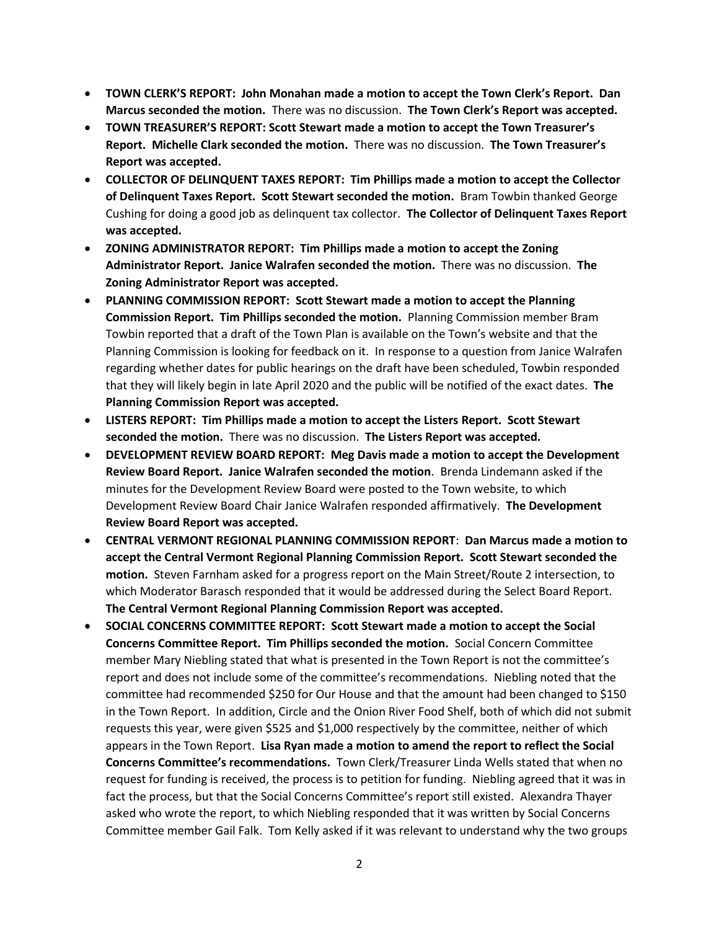- **TOWN CLERK'S REPORT: John Monahan made a motion to accept the Town Clerk's Report. Dan Marcus seconded the motion.** There was no discussion. **The Town Clerk's Report was accepted.**
- **TOWN TREASURER'S REPORT: Scott Stewart made a motion to accept the Town Treasurer's Report. Michelle Clark seconded the motion.** There was no discussion. **The Town Treasurer's Report was accepted.**
- **COLLECTOR OF DELINQUENT TAXES REPORT: Tim Phillips made a motion to accept the Collector of Delinquent Taxes Report. Scott Stewart seconded the motion.** Bram Towbin thanked George Cushing for doing a good job as delinquent tax collector. **The Collector of Delinquent Taxes Report was accepted.**
- **ZONING ADMINISTRATOR REPORT: Tim Phillips made a motion to accept the Zoning Administrator Report. Janice Walrafen seconded the motion.** There was no discussion. **The Zoning Administrator Report was accepted.**
- **PLANNING COMMISSION REPORT: Scott Stewart made a motion to accept the Planning Commission Report. Tim Phillips seconded the motion.** Planning Commission member Bram Towbin reported that a draft of the Town Plan is available on the Town's website and that the Planning Commission is looking for feedback on it. In response to a question from Janice Walrafen regarding whether dates for public hearings on the draft have been scheduled, Towbin responded that they will likely begin in late April 2020 and the public will be notified of the exact dates. **The Planning Commission Report was accepted.**
- **LISTERS REPORT: Tim Phillips made a motion to accept the Listers Report. Scott Stewart seconded the motion.** There was no discussion. **The Listers Report was accepted.**
- **DEVELOPMENT REVIEW BOARD REPORT: Meg Davis made a motion to accept the Development Review Board Report. Janice Walrafen seconded the motion**. Brenda Lindemann asked if the minutes for the Development Review Board were posted to the Town website, to which Development Review Board Chair Janice Walrafen responded affirmatively. **The Development Review Board Report was accepted.**
- **CENTRAL VERMONT REGIONAL PLANNING COMMISSION REPORT**: **Dan Marcus made a motion to accept the Central Vermont Regional Planning Commission Report. Scott Stewart seconded the motion.** Steven Farnham asked for a progress report on the Main Street/Route 2 intersection, to which Moderator Barasch responded that it would be addressed during the Select Board Report. **The Central Vermont Regional Planning Commission Report was accepted.**
- **SOCIAL CONCERNS COMMITTEE REPORT: Scott Stewart made a motion to accept the Social Concerns Committee Report. Tim Phillips seconded the motion.** Social Concern Committee member Mary Niebling stated that what is presented in the Town Report is not the committee's report and does not include some of the committee's recommendations. Niebling noted that the committee had recommended \$250 for Our House and that the amount had been changed to \$150 in the Town Report. In addition, Circle and the Onion River Food Shelf, both of which did not submit requests this year, were given \$525 and \$1,000 respectively by the committee, neither of which appears in the Town Report. **Lisa Ryan made a motion to amend the report to reflect the Social Concerns Committee's recommendations.** Town Clerk/Treasurer Linda Wells stated that when no request for funding is received, the process is to petition for funding. Niebling agreed that it was in fact the process, but that the Social Concerns Committee's report still existed. Alexandra Thayer asked who wrote the report, to which Niebling responded that it was written by Social Concerns Committee member Gail Falk. Tom Kelly asked if it was relevant to understand why the two groups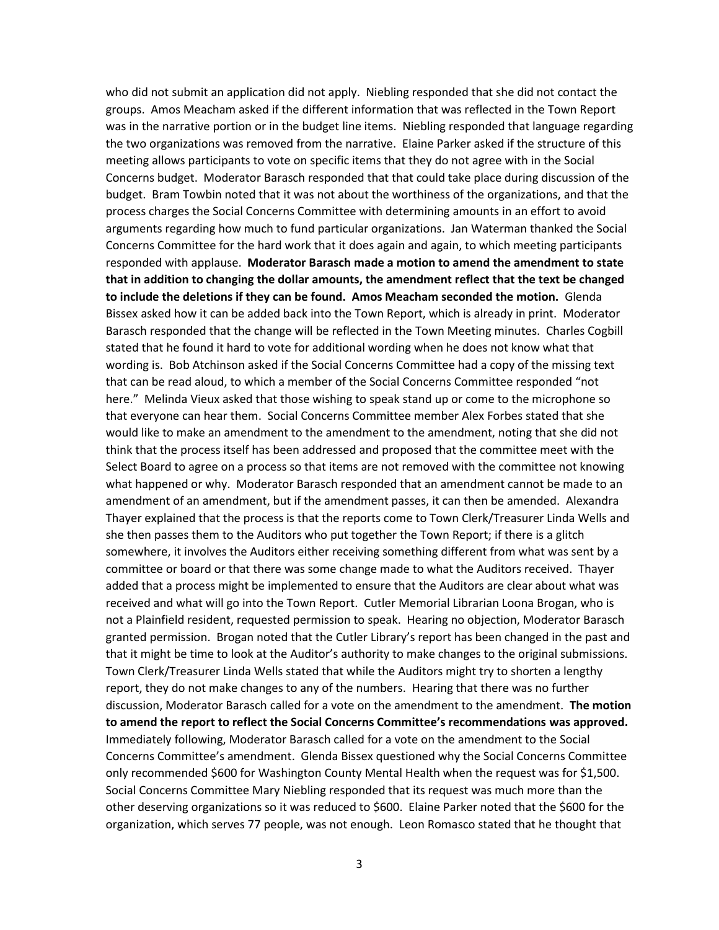who did not submit an application did not apply. Niebling responded that she did not contact the groups. Amos Meacham asked if the different information that was reflected in the Town Report was in the narrative portion or in the budget line items. Niebling responded that language regarding the two organizations was removed from the narrative. Elaine Parker asked if the structure of this meeting allows participants to vote on specific items that they do not agree with in the Social Concerns budget. Moderator Barasch responded that that could take place during discussion of the budget. Bram Towbin noted that it was not about the worthiness of the organizations, and that the process charges the Social Concerns Committee with determining amounts in an effort to avoid arguments regarding how much to fund particular organizations. Jan Waterman thanked the Social Concerns Committee for the hard work that it does again and again, to which meeting participants responded with applause. **Moderator Barasch made a motion to amend the amendment to state that in addition to changing the dollar amounts, the amendment reflect that the text be changed to include the deletions if they can be found. Amos Meacham seconded the motion.** Glenda Bissex asked how it can be added back into the Town Report, which is already in print. Moderator Barasch responded that the change will be reflected in the Town Meeting minutes. Charles Cogbill stated that he found it hard to vote for additional wording when he does not know what that wording is. Bob Atchinson asked if the Social Concerns Committee had a copy of the missing text that can be read aloud, to which a member of the Social Concerns Committee responded "not here." Melinda Vieux asked that those wishing to speak stand up or come to the microphone so that everyone can hear them. Social Concerns Committee member Alex Forbes stated that she would like to make an amendment to the amendment to the amendment, noting that she did not think that the process itself has been addressed and proposed that the committee meet with the Select Board to agree on a process so that items are not removed with the committee not knowing what happened or why. Moderator Barasch responded that an amendment cannot be made to an amendment of an amendment, but if the amendment passes, it can then be amended. Alexandra Thayer explained that the process is that the reports come to Town Clerk/Treasurer Linda Wells and she then passes them to the Auditors who put together the Town Report; if there is a glitch somewhere, it involves the Auditors either receiving something different from what was sent by a committee or board or that there was some change made to what the Auditors received. Thayer added that a process might be implemented to ensure that the Auditors are clear about what was received and what will go into the Town Report. Cutler Memorial Librarian Loona Brogan, who is not a Plainfield resident, requested permission to speak. Hearing no objection, Moderator Barasch granted permission. Brogan noted that the Cutler Library's report has been changed in the past and that it might be time to look at the Auditor's authority to make changes to the original submissions. Town Clerk/Treasurer Linda Wells stated that while the Auditors might try to shorten a lengthy report, they do not make changes to any of the numbers. Hearing that there was no further discussion, Moderator Barasch called for a vote on the amendment to the amendment. **The motion to amend the report to reflect the Social Concerns Committee's recommendations was approved.** Immediately following, Moderator Barasch called for a vote on the amendment to the Social Concerns Committee's amendment. Glenda Bissex questioned why the Social Concerns Committee only recommended \$600 for Washington County Mental Health when the request was for \$1,500. Social Concerns Committee Mary Niebling responded that its request was much more than the other deserving organizations so it was reduced to \$600. Elaine Parker noted that the \$600 for the organization, which serves 77 people, was not enough. Leon Romasco stated that he thought that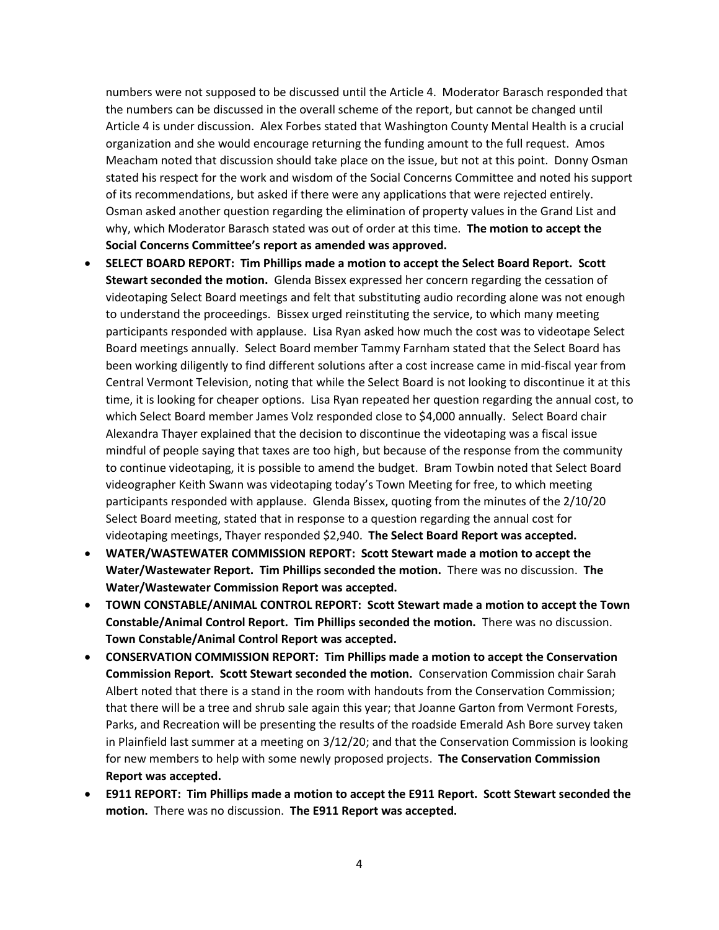numbers were not supposed to be discussed until the Article 4. Moderator Barasch responded that the numbers can be discussed in the overall scheme of the report, but cannot be changed until Article 4 is under discussion. Alex Forbes stated that Washington County Mental Health is a crucial organization and she would encourage returning the funding amount to the full request. Amos Meacham noted that discussion should take place on the issue, but not at this point. Donny Osman stated his respect for the work and wisdom of the Social Concerns Committee and noted his support of its recommendations, but asked if there were any applications that were rejected entirely. Osman asked another question regarding the elimination of property values in the Grand List and why, which Moderator Barasch stated was out of order at this time. **The motion to accept the Social Concerns Committee's report as amended was approved.**

- **SELECT BOARD REPORT: Tim Phillips made a motion to accept the Select Board Report. Scott Stewart seconded the motion.** Glenda Bissex expressed her concern regarding the cessation of videotaping Select Board meetings and felt that substituting audio recording alone was not enough to understand the proceedings. Bissex urged reinstituting the service, to which many meeting participants responded with applause. Lisa Ryan asked how much the cost was to videotape Select Board meetings annually. Select Board member Tammy Farnham stated that the Select Board has been working diligently to find different solutions after a cost increase came in mid-fiscal year from Central Vermont Television, noting that while the Select Board is not looking to discontinue it at this time, it is looking for cheaper options. Lisa Ryan repeated her question regarding the annual cost, to which Select Board member James Volz responded close to \$4,000 annually. Select Board chair Alexandra Thayer explained that the decision to discontinue the videotaping was a fiscal issue mindful of people saying that taxes are too high, but because of the response from the community to continue videotaping, it is possible to amend the budget. Bram Towbin noted that Select Board videographer Keith Swann was videotaping today's Town Meeting for free, to which meeting participants responded with applause. Glenda Bissex, quoting from the minutes of the 2/10/20 Select Board meeting, stated that in response to a question regarding the annual cost for videotaping meetings, Thayer responded \$2,940. **The Select Board Report was accepted.**
- **WATER/WASTEWATER COMMISSION REPORT: Scott Stewart made a motion to accept the Water/Wastewater Report. Tim Phillips seconded the motion.** There was no discussion. **The Water/Wastewater Commission Report was accepted.**
- **TOWN CONSTABLE/ANIMAL CONTROL REPORT: Scott Stewart made a motion to accept the Town Constable/Animal Control Report. Tim Phillips seconded the motion.** There was no discussion. **Town Constable/Animal Control Report was accepted.**
- **CONSERVATION COMMISSION REPORT: Tim Phillips made a motion to accept the Conservation Commission Report. Scott Stewart seconded the motion.** Conservation Commission chair Sarah Albert noted that there is a stand in the room with handouts from the Conservation Commission; that there will be a tree and shrub sale again this year; that Joanne Garton from Vermont Forests, Parks, and Recreation will be presenting the results of the roadside Emerald Ash Bore survey taken in Plainfield last summer at a meeting on 3/12/20; and that the Conservation Commission is looking for new members to help with some newly proposed projects. **The Conservation Commission Report was accepted.**
- **E911 REPORT: Tim Phillips made a motion to accept the E911 Report. Scott Stewart seconded the motion.** There was no discussion. **The E911 Report was accepted.**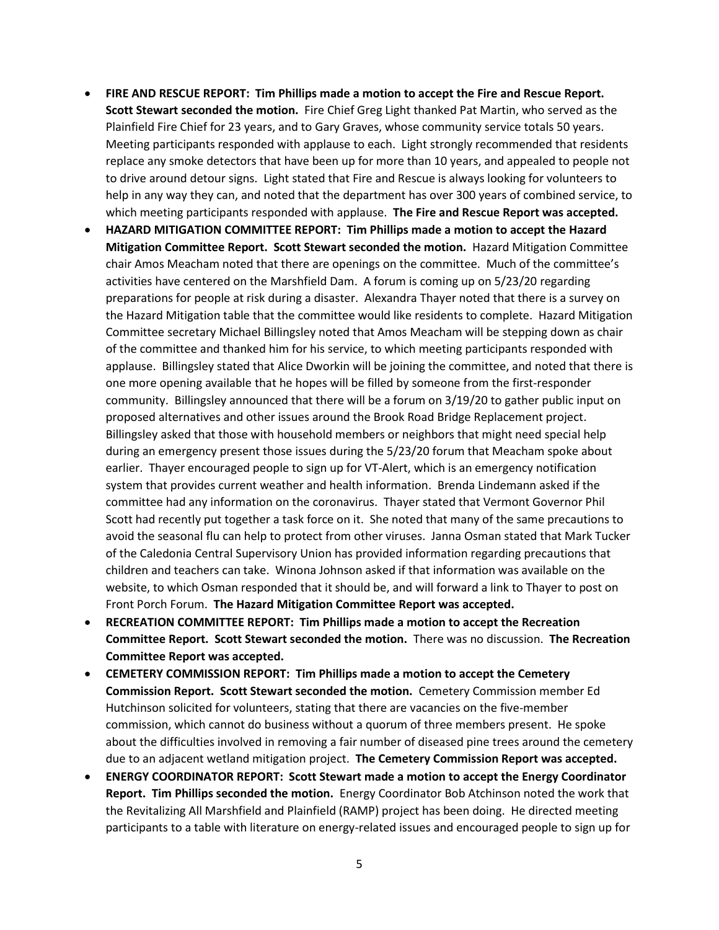- **FIRE AND RESCUE REPORT: Tim Phillips made a motion to accept the Fire and Rescue Report. Scott Stewart seconded the motion.** Fire Chief Greg Light thanked Pat Martin, who served as the Plainfield Fire Chief for 23 years, and to Gary Graves, whose community service totals 50 years. Meeting participants responded with applause to each. Light strongly recommended that residents replace any smoke detectors that have been up for more than 10 years, and appealed to people not to drive around detour signs. Light stated that Fire and Rescue is always looking for volunteers to help in any way they can, and noted that the department has over 300 years of combined service, to which meeting participants responded with applause. **The Fire and Rescue Report was accepted.**
- **HAZARD MITIGATION COMMITTEE REPORT: Tim Phillips made a motion to accept the Hazard Mitigation Committee Report. Scott Stewart seconded the motion.** Hazard Mitigation Committee chair Amos Meacham noted that there are openings on the committee. Much of the committee's activities have centered on the Marshfield Dam. A forum is coming up on 5/23/20 regarding preparations for people at risk during a disaster. Alexandra Thayer noted that there is a survey on the Hazard Mitigation table that the committee would like residents to complete. Hazard Mitigation Committee secretary Michael Billingsley noted that Amos Meacham will be stepping down as chair of the committee and thanked him for his service, to which meeting participants responded with applause. Billingsley stated that Alice Dworkin will be joining the committee, and noted that there is one more opening available that he hopes will be filled by someone from the first-responder community. Billingsley announced that there will be a forum on 3/19/20 to gather public input on proposed alternatives and other issues around the Brook Road Bridge Replacement project. Billingsley asked that those with household members or neighbors that might need special help during an emergency present those issues during the 5/23/20 forum that Meacham spoke about earlier. Thayer encouraged people to sign up for VT-Alert, which is an emergency notification system that provides current weather and health information. Brenda Lindemann asked if the committee had any information on the coronavirus. Thayer stated that Vermont Governor Phil Scott had recently put together a task force on it. She noted that many of the same precautions to avoid the seasonal flu can help to protect from other viruses. Janna Osman stated that Mark Tucker of the Caledonia Central Supervisory Union has provided information regarding precautions that children and teachers can take. Winona Johnson asked if that information was available on the website, to which Osman responded that it should be, and will forward a link to Thayer to post on Front Porch Forum. **The Hazard Mitigation Committee Report was accepted.**
- **RECREATION COMMITTEE REPORT: Tim Phillips made a motion to accept the Recreation Committee Report. Scott Stewart seconded the motion.** There was no discussion. **The Recreation Committee Report was accepted.**
- **CEMETERY COMMISSION REPORT: Tim Phillips made a motion to accept the Cemetery Commission Report. Scott Stewart seconded the motion.** Cemetery Commission member Ed Hutchinson solicited for volunteers, stating that there are vacancies on the five-member commission, which cannot do business without a quorum of three members present. He spoke about the difficulties involved in removing a fair number of diseased pine trees around the cemetery due to an adjacent wetland mitigation project. **The Cemetery Commission Report was accepted.**
- **ENERGY COORDINATOR REPORT: Scott Stewart made a motion to accept the Energy Coordinator Report. Tim Phillips seconded the motion.** Energy Coordinator Bob Atchinson noted the work that the Revitalizing All Marshfield and Plainfield (RAMP) project has been doing. He directed meeting participants to a table with literature on energy-related issues and encouraged people to sign up for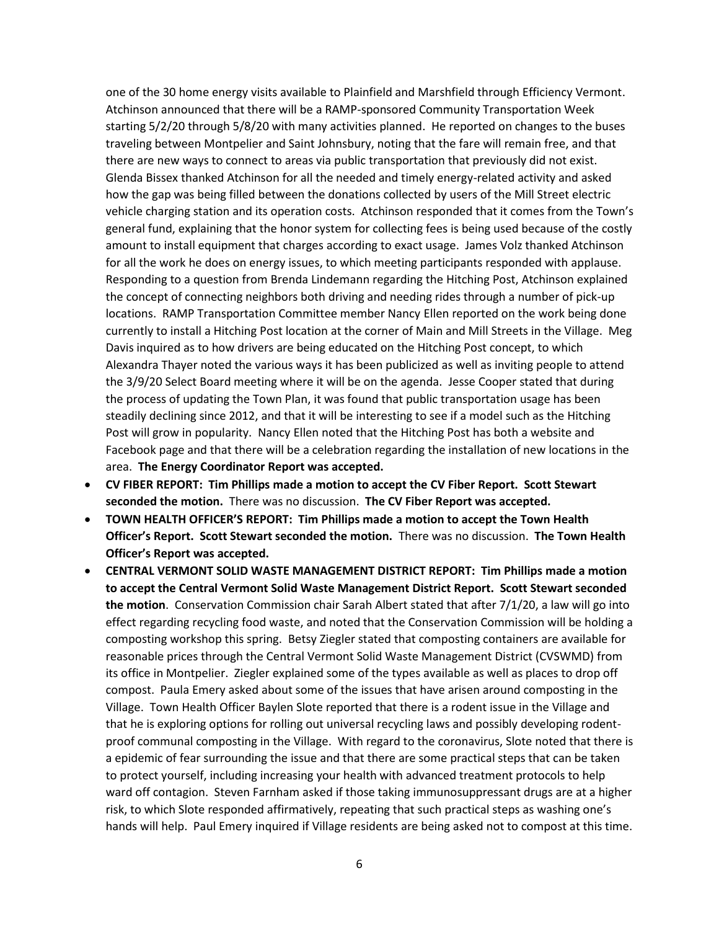one of the 30 home energy visits available to Plainfield and Marshfield through Efficiency Vermont. Atchinson announced that there will be a RAMP-sponsored Community Transportation Week starting 5/2/20 through 5/8/20 with many activities planned. He reported on changes to the buses traveling between Montpelier and Saint Johnsbury, noting that the fare will remain free, and that there are new ways to connect to areas via public transportation that previously did not exist. Glenda Bissex thanked Atchinson for all the needed and timely energy-related activity and asked how the gap was being filled between the donations collected by users of the Mill Street electric vehicle charging station and its operation costs. Atchinson responded that it comes from the Town's general fund, explaining that the honor system for collecting fees is being used because of the costly amount to install equipment that charges according to exact usage. James Volz thanked Atchinson for all the work he does on energy issues, to which meeting participants responded with applause. Responding to a question from Brenda Lindemann regarding the Hitching Post, Atchinson explained the concept of connecting neighbors both driving and needing rides through a number of pick-up locations. RAMP Transportation Committee member Nancy Ellen reported on the work being done currently to install a Hitching Post location at the corner of Main and Mill Streets in the Village. Meg Davis inquired as to how drivers are being educated on the Hitching Post concept, to which Alexandra Thayer noted the various ways it has been publicized as well as inviting people to attend the 3/9/20 Select Board meeting where it will be on the agenda. Jesse Cooper stated that during the process of updating the Town Plan, it was found that public transportation usage has been steadily declining since 2012, and that it will be interesting to see if a model such as the Hitching Post will grow in popularity. Nancy Ellen noted that the Hitching Post has both a website and Facebook page and that there will be a celebration regarding the installation of new locations in the area. **The Energy Coordinator Report was accepted.**

- **CV FIBER REPORT: Tim Phillips made a motion to accept the CV Fiber Report. Scott Stewart seconded the motion.** There was no discussion. **The CV Fiber Report was accepted.**
- **TOWN HEALTH OFFICER'S REPORT: Tim Phillips made a motion to accept the Town Health Officer's Report. Scott Stewart seconded the motion.** There was no discussion. **The Town Health Officer's Report was accepted.**
- **CENTRAL VERMONT SOLID WASTE MANAGEMENT DISTRICT REPORT: Tim Phillips made a motion to accept the Central Vermont Solid Waste Management District Report. Scott Stewart seconded the motion**. Conservation Commission chair Sarah Albert stated that after 7/1/20, a law will go into effect regarding recycling food waste, and noted that the Conservation Commission will be holding a composting workshop this spring. Betsy Ziegler stated that composting containers are available for reasonable prices through the Central Vermont Solid Waste Management District (CVSWMD) from its office in Montpelier. Ziegler explained some of the types available as well as places to drop off compost. Paula Emery asked about some of the issues that have arisen around composting in the Village. Town Health Officer Baylen Slote reported that there is a rodent issue in the Village and that he is exploring options for rolling out universal recycling laws and possibly developing rodentproof communal composting in the Village. With regard to the coronavirus, Slote noted that there is a epidemic of fear surrounding the issue and that there are some practical steps that can be taken to protect yourself, including increasing your health with advanced treatment protocols to help ward off contagion. Steven Farnham asked if those taking immunosuppressant drugs are at a higher risk, to which Slote responded affirmatively, repeating that such practical steps as washing one's hands will help. Paul Emery inquired if Village residents are being asked not to compost at this time.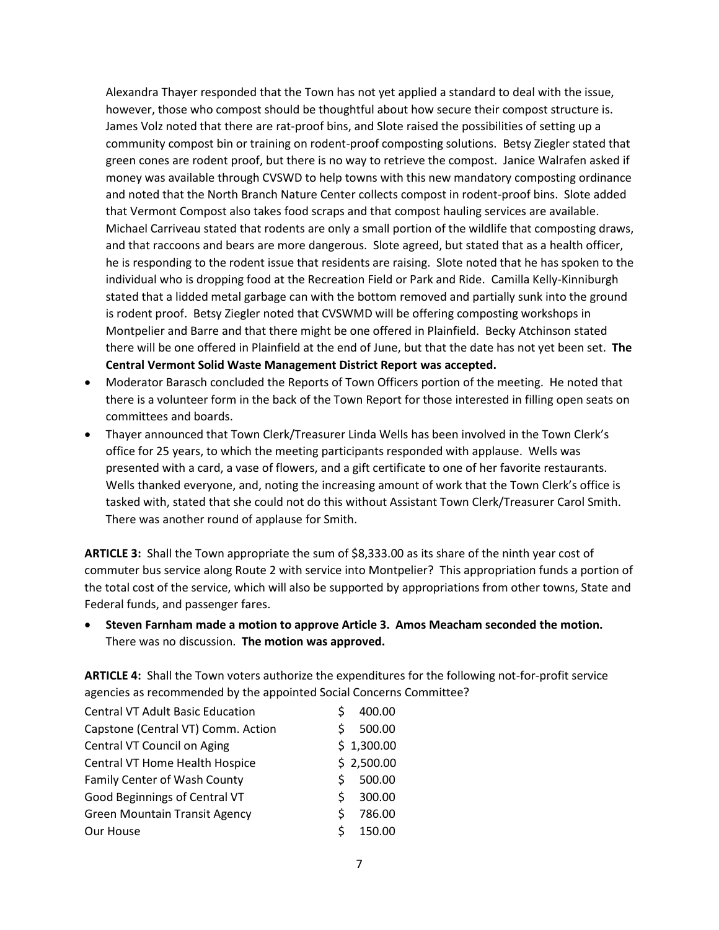Alexandra Thayer responded that the Town has not yet applied a standard to deal with the issue, however, those who compost should be thoughtful about how secure their compost structure is. James Volz noted that there are rat-proof bins, and Slote raised the possibilities of setting up a community compost bin or training on rodent-proof composting solutions. Betsy Ziegler stated that green cones are rodent proof, but there is no way to retrieve the compost. Janice Walrafen asked if money was available through CVSWD to help towns with this new mandatory composting ordinance and noted that the North Branch Nature Center collects compost in rodent-proof bins. Slote added that Vermont Compost also takes food scraps and that compost hauling services are available. Michael Carriveau stated that rodents are only a small portion of the wildlife that composting draws, and that raccoons and bears are more dangerous. Slote agreed, but stated that as a health officer, he is responding to the rodent issue that residents are raising. Slote noted that he has spoken to the individual who is dropping food at the Recreation Field or Park and Ride. Camilla Kelly-Kinniburgh stated that a lidded metal garbage can with the bottom removed and partially sunk into the ground is rodent proof. Betsy Ziegler noted that CVSWMD will be offering composting workshops in Montpelier and Barre and that there might be one offered in Plainfield. Becky Atchinson stated there will be one offered in Plainfield at the end of June, but that the date has not yet been set. **The Central Vermont Solid Waste Management District Report was accepted.**

- Moderator Barasch concluded the Reports of Town Officers portion of the meeting. He noted that there is a volunteer form in the back of the Town Report for those interested in filling open seats on committees and boards.
- Thayer announced that Town Clerk/Treasurer Linda Wells has been involved in the Town Clerk's office for 25 years, to which the meeting participants responded with applause. Wells was presented with a card, a vase of flowers, and a gift certificate to one of her favorite restaurants. Wells thanked everyone, and, noting the increasing amount of work that the Town Clerk's office is tasked with, stated that she could not do this without Assistant Town Clerk/Treasurer Carol Smith. There was another round of applause for Smith.

**ARTICLE 3:** Shall the Town appropriate the sum of \$8,333.00 as its share of the ninth year cost of commuter bus service along Route 2 with service into Montpelier? This appropriation funds a portion of the total cost of the service, which will also be supported by appropriations from other towns, State and Federal funds, and passenger fares.

 **Steven Farnham made a motion to approve Article 3. Amos Meacham seconded the motion.**  There was no discussion. **The motion was approved.**

**ARTICLE 4:** Shall the Town voters authorize the expenditures for the following not-for-profit service agencies as recommended by the appointed Social Concerns Committee?

| <b>Central VT Adult Basic Education</b> |    | 400.00     |
|-----------------------------------------|----|------------|
| Capstone (Central VT) Comm. Action      | ς  | 500.00     |
| Central VT Council on Aging             |    | \$1,300.00 |
| Central VT Home Health Hospice          |    | \$2,500.00 |
| Family Center of Wash County            | S  | 500.00     |
| Good Beginnings of Central VT           | Š. | 300.00     |
| <b>Green Mountain Transit Agency</b>    | Ś  | 786.00     |
| Our House                               | ς  | 150.00     |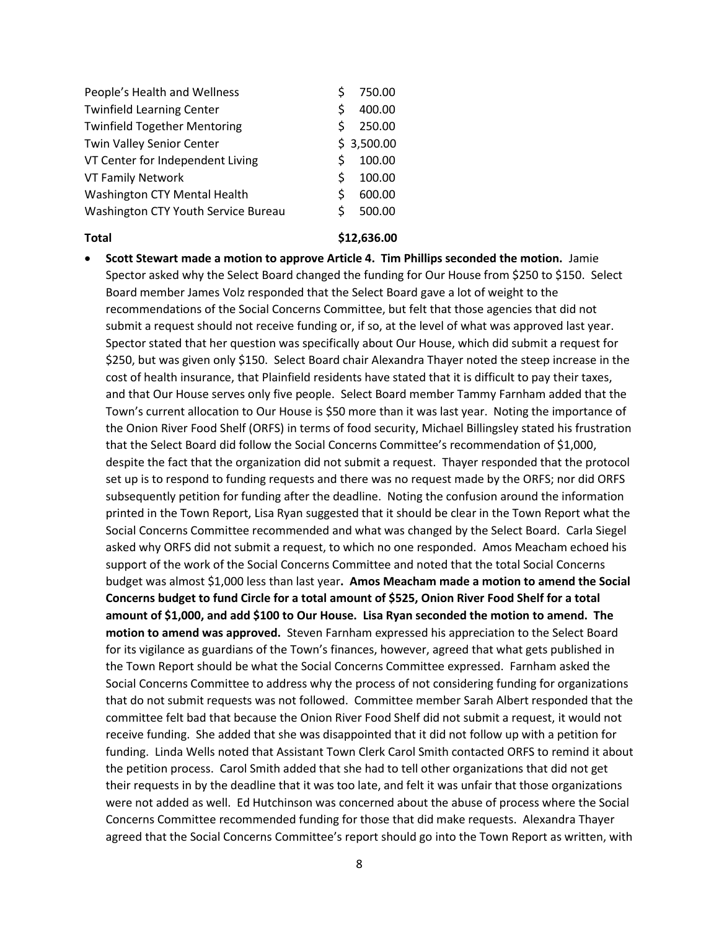| People's Health and Wellness        |   | 750.00     |
|-------------------------------------|---|------------|
| <b>Twinfield Learning Center</b>    | Ś | 400.00     |
| <b>Twinfield Together Mentoring</b> | S | 250.00     |
| Twin Valley Senior Center           |   | \$3,500.00 |
| VT Center for Independent Living    | S | 100.00     |
| <b>VT Family Network</b>            | S | 100.00     |
| Washington CTY Mental Health        | Ś | 600.00     |
| Washington CTY Youth Service Bureau | S | 500.00     |
|                                     |   |            |

### **Total \$12,636.00**

 **Scott Stewart made a motion to approve Article 4. Tim Phillips seconded the motion.** Jamie Spector asked why the Select Board changed the funding for Our House from \$250 to \$150. Select Board member James Volz responded that the Select Board gave a lot of weight to the recommendations of the Social Concerns Committee, but felt that those agencies that did not submit a request should not receive funding or, if so, at the level of what was approved last year. Spector stated that her question was specifically about Our House, which did submit a request for \$250, but was given only \$150. Select Board chair Alexandra Thayer noted the steep increase in the cost of health insurance, that Plainfield residents have stated that it is difficult to pay their taxes, and that Our House serves only five people. Select Board member Tammy Farnham added that the Town's current allocation to Our House is \$50 more than it was last year. Noting the importance of the Onion River Food Shelf (ORFS) in terms of food security, Michael Billingsley stated his frustration that the Select Board did follow the Social Concerns Committee's recommendation of \$1,000, despite the fact that the organization did not submit a request. Thayer responded that the protocol set up is to respond to funding requests and there was no request made by the ORFS; nor did ORFS subsequently petition for funding after the deadline. Noting the confusion around the information printed in the Town Report, Lisa Ryan suggested that it should be clear in the Town Report what the Social Concerns Committee recommended and what was changed by the Select Board. Carla Siegel asked why ORFS did not submit a request, to which no one responded. Amos Meacham echoed his support of the work of the Social Concerns Committee and noted that the total Social Concerns budget was almost \$1,000 less than last year**. Amos Meacham made a motion to amend the Social Concerns budget to fund Circle for a total amount of \$525, Onion River Food Shelf for a total amount of \$1,000, and add \$100 to Our House. Lisa Ryan seconded the motion to amend. The motion to amend was approved.** Steven Farnham expressed his appreciation to the Select Board for its vigilance as guardians of the Town's finances, however, agreed that what gets published in the Town Report should be what the Social Concerns Committee expressed. Farnham asked the Social Concerns Committee to address why the process of not considering funding for organizations that do not submit requests was not followed. Committee member Sarah Albert responded that the committee felt bad that because the Onion River Food Shelf did not submit a request, it would not receive funding. She added that she was disappointed that it did not follow up with a petition for funding. Linda Wells noted that Assistant Town Clerk Carol Smith contacted ORFS to remind it about the petition process. Carol Smith added that she had to tell other organizations that did not get their requests in by the deadline that it was too late, and felt it was unfair that those organizations were not added as well. Ed Hutchinson was concerned about the abuse of process where the Social Concerns Committee recommended funding for those that did make requests. Alexandra Thayer agreed that the Social Concerns Committee's report should go into the Town Report as written, with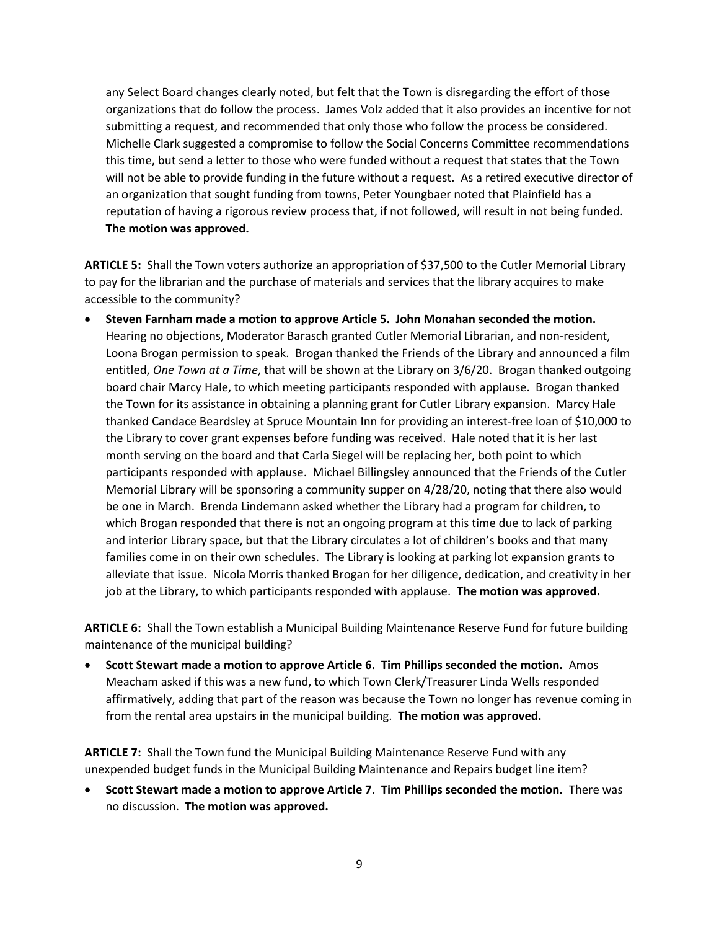any Select Board changes clearly noted, but felt that the Town is disregarding the effort of those organizations that do follow the process. James Volz added that it also provides an incentive for not submitting a request, and recommended that only those who follow the process be considered. Michelle Clark suggested a compromise to follow the Social Concerns Committee recommendations this time, but send a letter to those who were funded without a request that states that the Town will not be able to provide funding in the future without a request. As a retired executive director of an organization that sought funding from towns, Peter Youngbaer noted that Plainfield has a reputation of having a rigorous review process that, if not followed, will result in not being funded. **The motion was approved.**

**ARTICLE 5:** Shall the Town voters authorize an appropriation of \$37,500 to the Cutler Memorial Library to pay for the librarian and the purchase of materials and services that the library acquires to make accessible to the community?

 **Steven Farnham made a motion to approve Article 5. John Monahan seconded the motion.**  Hearing no objections, Moderator Barasch granted Cutler Memorial Librarian, and non-resident, Loona Brogan permission to speak. Brogan thanked the Friends of the Library and announced a film entitled, *One Town at a Time*, that will be shown at the Library on 3/6/20. Brogan thanked outgoing board chair Marcy Hale, to which meeting participants responded with applause. Brogan thanked the Town for its assistance in obtaining a planning grant for Cutler Library expansion. Marcy Hale thanked Candace Beardsley at Spruce Mountain Inn for providing an interest-free loan of \$10,000 to the Library to cover grant expenses before funding was received. Hale noted that it is her last month serving on the board and that Carla Siegel will be replacing her, both point to which participants responded with applause. Michael Billingsley announced that the Friends of the Cutler Memorial Library will be sponsoring a community supper on 4/28/20, noting that there also would be one in March. Brenda Lindemann asked whether the Library had a program for children, to which Brogan responded that there is not an ongoing program at this time due to lack of parking and interior Library space, but that the Library circulates a lot of children's books and that many families come in on their own schedules. The Library is looking at parking lot expansion grants to alleviate that issue. Nicola Morris thanked Brogan for her diligence, dedication, and creativity in her job at the Library, to which participants responded with applause. **The motion was approved.**

**ARTICLE 6:** Shall the Town establish a Municipal Building Maintenance Reserve Fund for future building maintenance of the municipal building?

 **Scott Stewart made a motion to approve Article 6. Tim Phillips seconded the motion.** Amos Meacham asked if this was a new fund, to which Town Clerk/Treasurer Linda Wells responded affirmatively, adding that part of the reason was because the Town no longer has revenue coming in from the rental area upstairs in the municipal building. **The motion was approved.**

**ARTICLE 7:** Shall the Town fund the Municipal Building Maintenance Reserve Fund with any unexpended budget funds in the Municipal Building Maintenance and Repairs budget line item?

 **Scott Stewart made a motion to approve Article 7. Tim Phillips seconded the motion.** There was no discussion. **The motion was approved.**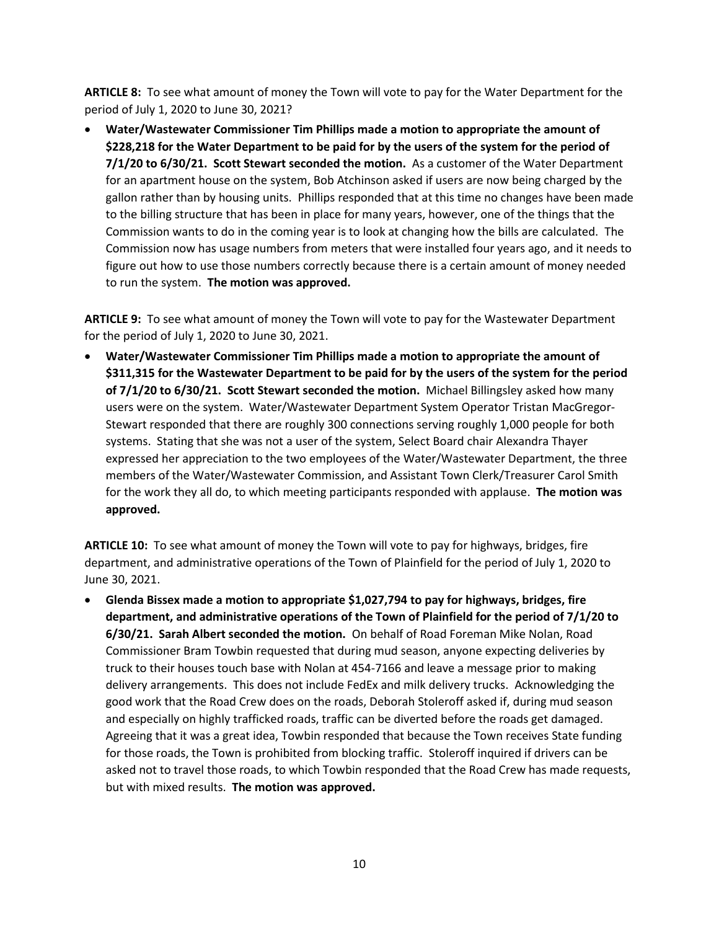**ARTICLE 8:** To see what amount of money the Town will vote to pay for the Water Department for the period of July 1, 2020 to June 30, 2021?

 **Water/Wastewater Commissioner Tim Phillips made a motion to appropriate the amount of \$228,218 for the Water Department to be paid for by the users of the system for the period of 7/1/20 to 6/30/21. Scott Stewart seconded the motion.** As a customer of the Water Department for an apartment house on the system, Bob Atchinson asked if users are now being charged by the gallon rather than by housing units. Phillips responded that at this time no changes have been made to the billing structure that has been in place for many years, however, one of the things that the Commission wants to do in the coming year is to look at changing how the bills are calculated. The Commission now has usage numbers from meters that were installed four years ago, and it needs to figure out how to use those numbers correctly because there is a certain amount of money needed to run the system. **The motion was approved.**

**ARTICLE 9:** To see what amount of money the Town will vote to pay for the Wastewater Department for the period of July 1, 2020 to June 30, 2021.

 **Water/Wastewater Commissioner Tim Phillips made a motion to appropriate the amount of \$311,315 for the Wastewater Department to be paid for by the users of the system for the period of 7/1/20 to 6/30/21. Scott Stewart seconded the motion.** Michael Billingsley asked how many users were on the system. Water/Wastewater Department System Operator Tristan MacGregor-Stewart responded that there are roughly 300 connections serving roughly 1,000 people for both systems. Stating that she was not a user of the system, Select Board chair Alexandra Thayer expressed her appreciation to the two employees of the Water/Wastewater Department, the three members of the Water/Wastewater Commission, and Assistant Town Clerk/Treasurer Carol Smith for the work they all do, to which meeting participants responded with applause. **The motion was approved.**

**ARTICLE 10:** To see what amount of money the Town will vote to pay for highways, bridges, fire department, and administrative operations of the Town of Plainfield for the period of July 1, 2020 to June 30, 2021.

 **Glenda Bissex made a motion to appropriate \$1,027,794 to pay for highways, bridges, fire department, and administrative operations of the Town of Plainfield for the period of 7/1/20 to 6/30/21. Sarah Albert seconded the motion.** On behalf of Road Foreman Mike Nolan, Road Commissioner Bram Towbin requested that during mud season, anyone expecting deliveries by truck to their houses touch base with Nolan at 454-7166 and leave a message prior to making delivery arrangements. This does not include FedEx and milk delivery trucks. Acknowledging the good work that the Road Crew does on the roads, Deborah Stoleroff asked if, during mud season and especially on highly trafficked roads, traffic can be diverted before the roads get damaged. Agreeing that it was a great idea, Towbin responded that because the Town receives State funding for those roads, the Town is prohibited from blocking traffic. Stoleroff inquired if drivers can be asked not to travel those roads, to which Towbin responded that the Road Crew has made requests, but with mixed results. **The motion was approved.**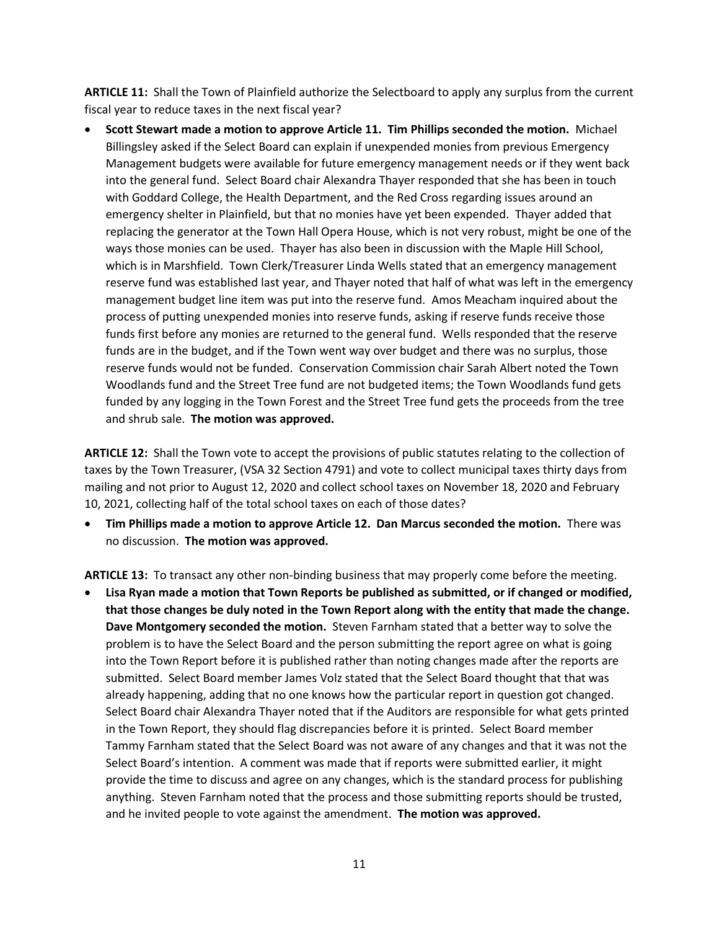**ARTICLE 11:** Shall the Town of Plainfield authorize the Selectboard to apply any surplus from the current fiscal year to reduce taxes in the next fiscal year?

 **Scott Stewart made a motion to approve Article 11. Tim Phillips seconded the motion.** Michael Billingsley asked if the Select Board can explain if unexpended monies from previous Emergency Management budgets were available for future emergency management needs or if they went back into the general fund. Select Board chair Alexandra Thayer responded that she has been in touch with Goddard College, the Health Department, and the Red Cross regarding issues around an emergency shelter in Plainfield, but that no monies have yet been expended. Thayer added that replacing the generator at the Town Hall Opera House, which is not very robust, might be one of the ways those monies can be used. Thayer has also been in discussion with the Maple Hill School, which is in Marshfield. Town Clerk/Treasurer Linda Wells stated that an emergency management reserve fund was established last year, and Thayer noted that half of what was left in the emergency management budget line item was put into the reserve fund. Amos Meacham inquired about the process of putting unexpended monies into reserve funds, asking if reserve funds receive those funds first before any monies are returned to the general fund. Wells responded that the reserve funds are in the budget, and if the Town went way over budget and there was no surplus, those reserve funds would not be funded. Conservation Commission chair Sarah Albert noted the Town Woodlands fund and the Street Tree fund are not budgeted items; the Town Woodlands fund gets funded by any logging in the Town Forest and the Street Tree fund gets the proceeds from the tree and shrub sale. **The motion was approved.**

**ARTICLE 12:** Shall the Town vote to accept the provisions of public statutes relating to the collection of taxes by the Town Treasurer, (VSA 32 Section 4791) and vote to collect municipal taxes thirty days from mailing and not prior to August 12, 2020 and collect school taxes on November 18, 2020 and February 10, 2021, collecting half of the total school taxes on each of those dates?

 **Tim Phillips made a motion to approve Article 12. Dan Marcus seconded the motion.** There was no discussion. **The motion was approved.**

**ARTICLE 13:** To transact any other non-binding business that may properly come before the meeting.

 **Lisa Ryan made a motion that Town Reports be published as submitted, or if changed or modified, that those changes be duly noted in the Town Report along with the entity that made the change. Dave Montgomery seconded the motion.** Steven Farnham stated that a better way to solve the problem is to have the Select Board and the person submitting the report agree on what is going into the Town Report before it is published rather than noting changes made after the reports are submitted. Select Board member James Volz stated that the Select Board thought that that was already happening, adding that no one knows how the particular report in question got changed. Select Board chair Alexandra Thayer noted that if the Auditors are responsible for what gets printed in the Town Report, they should flag discrepancies before it is printed. Select Board member Tammy Farnham stated that the Select Board was not aware of any changes and that it was not the Select Board's intention. A comment was made that if reports were submitted earlier, it might provide the time to discuss and agree on any changes, which is the standard process for publishing anything. Steven Farnham noted that the process and those submitting reports should be trusted, and he invited people to vote against the amendment. **The motion was approved.**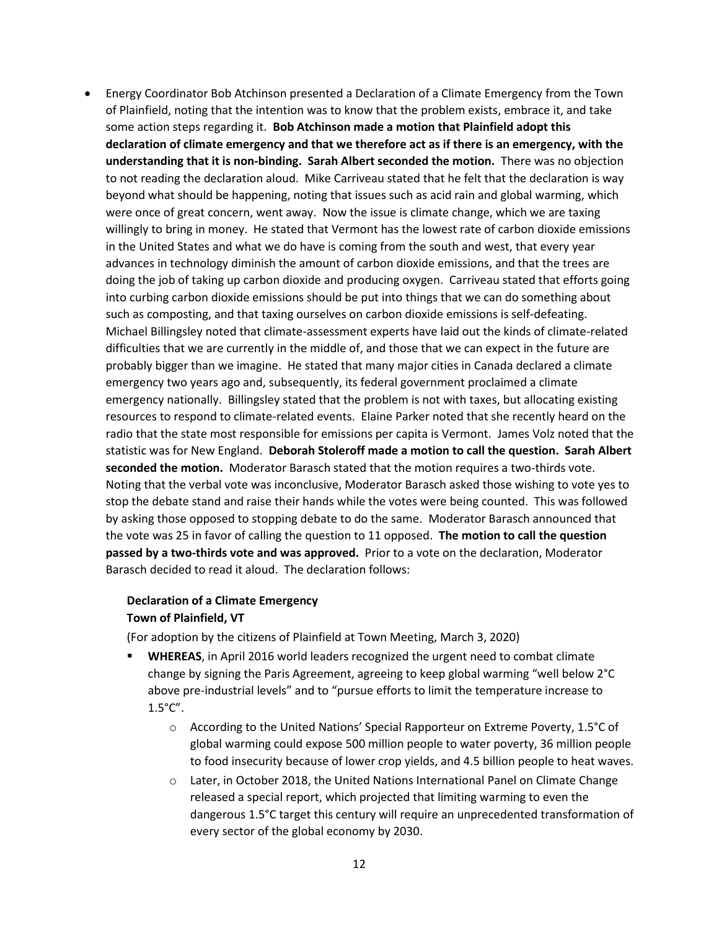Energy Coordinator Bob Atchinson presented a Declaration of a Climate Emergency from the Town of Plainfield, noting that the intention was to know that the problem exists, embrace it, and take some action steps regarding it. **Bob Atchinson made a motion that Plainfield adopt this declaration of climate emergency and that we therefore act as if there is an emergency, with the understanding that it is non-binding. Sarah Albert seconded the motion.** There was no objection to not reading the declaration aloud. Mike Carriveau stated that he felt that the declaration is way beyond what should be happening, noting that issues such as acid rain and global warming, which were once of great concern, went away. Now the issue is climate change, which we are taxing willingly to bring in money. He stated that Vermont has the lowest rate of carbon dioxide emissions in the United States and what we do have is coming from the south and west, that every year advances in technology diminish the amount of carbon dioxide emissions, and that the trees are doing the job of taking up carbon dioxide and producing oxygen. Carriveau stated that efforts going into curbing carbon dioxide emissions should be put into things that we can do something about such as composting, and that taxing ourselves on carbon dioxide emissions is self-defeating. Michael Billingsley noted that climate-assessment experts have laid out the kinds of climate-related difficulties that we are currently in the middle of, and those that we can expect in the future are probably bigger than we imagine. He stated that many major cities in Canada declared a climate emergency two years ago and, subsequently, its federal government proclaimed a climate emergency nationally. Billingsley stated that the problem is not with taxes, but allocating existing resources to respond to climate-related events. Elaine Parker noted that she recently heard on the radio that the state most responsible for emissions per capita is Vermont. James Volz noted that the statistic was for New England. **Deborah Stoleroff made a motion to call the question. Sarah Albert seconded the motion.** Moderator Barasch stated that the motion requires a two-thirds vote. Noting that the verbal vote was inconclusive, Moderator Barasch asked those wishing to vote yes to stop the debate stand and raise their hands while the votes were being counted. This was followed by asking those opposed to stopping debate to do the same. Moderator Barasch announced that the vote was 25 in favor of calling the question to 11 opposed. **The motion to call the question passed by a two-thirds vote and was approved.** Prior to a vote on the declaration, Moderator Barasch decided to read it aloud. The declaration follows:

## **Declaration of a Climate Emergency Town of Plainfield, VT**

(For adoption by the citizens of Plainfield at Town Meeting, March 3, 2020)

- **WHEREAS**, in April 2016 world leaders recognized the urgent need to combat climate change by signing the Paris Agreement, agreeing to keep global warming "well below 2°C above pre-industrial levels" and to "pursue efforts to limit the temperature increase to  $1.5^{\circ}$ C".
	- o According to the United Nations' Special Rapporteur on Extreme Poverty, 1.5°C of global warming could expose 500 million people to water poverty, 36 million people to food insecurity because of lower crop yields, and 4.5 billion people to heat waves.
	- o Later, in October 2018, the United Nations International Panel on Climate Change released a special report, which projected that limiting warming to even the dangerous 1.5°C target this century will require an unprecedented transformation of every sector of the global economy by 2030.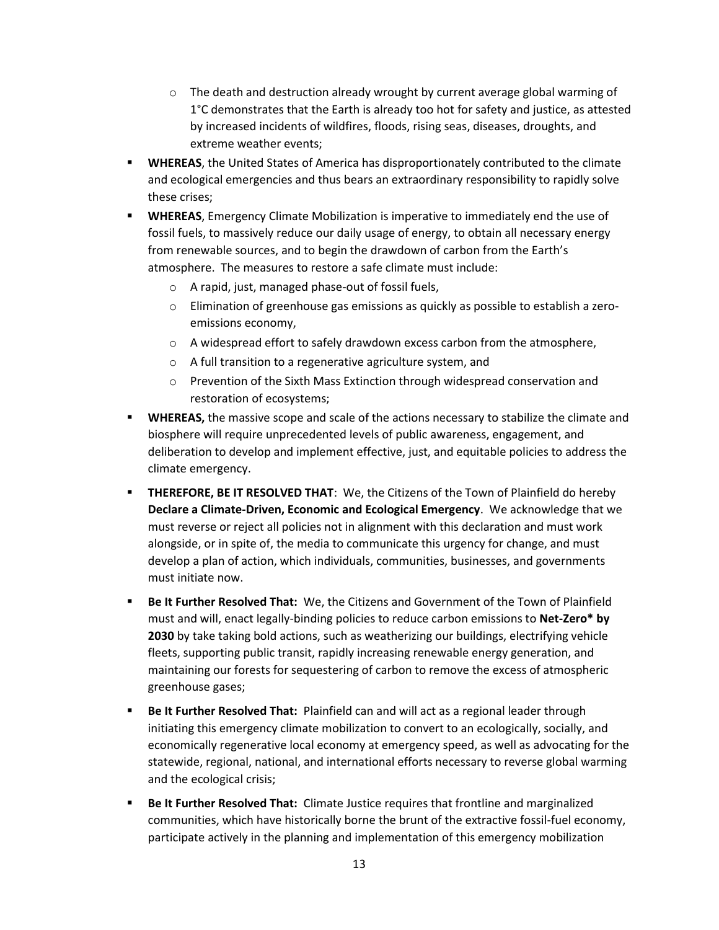- $\circ$  The death and destruction already wrought by current average global warming of 1°C demonstrates that the Earth is already too hot for safety and justice, as attested by increased incidents of wildfires, floods, rising seas, diseases, droughts, and extreme weather events;
- **WHEREAS**, the United States of America has disproportionately contributed to the climate and ecological emergencies and thus bears an extraordinary responsibility to rapidly solve these crises;
- **WHEREAS**, Emergency Climate Mobilization is imperative to immediately end the use of fossil fuels, to massively reduce our daily usage of energy, to obtain all necessary energy from renewable sources, and to begin the drawdown of carbon from the Earth's atmosphere. The measures to restore a safe climate must include:
	- o A rapid, just, managed phase-out of fossil fuels,
	- $\circ$  Elimination of greenhouse gas emissions as quickly as possible to establish a zeroemissions economy,
	- o A widespread effort to safely drawdown excess carbon from the atmosphere,
	- o A full transition to a regenerative agriculture system, and
	- o Prevention of the Sixth Mass Extinction through widespread conservation and restoration of ecosystems;
- **WHEREAS,** the massive scope and scale of the actions necessary to stabilize the climate and biosphere will require unprecedented levels of public awareness, engagement, and deliberation to develop and implement effective, just, and equitable policies to address the climate emergency.
- **THEREFORE, BE IT RESOLVED THAT**: We, the Citizens of the Town of Plainfield do hereby **Declare a Climate-Driven, Economic and Ecological Emergency**. We acknowledge that we must reverse or reject all policies not in alignment with this declaration and must work alongside, or in spite of, the media to communicate this urgency for change, and must develop a plan of action, which individuals, communities, businesses, and governments must initiate now.
- **Be It Further Resolved That:** We, the Citizens and Government of the Town of Plainfield must and will, enact legally-binding policies to reduce carbon emissions to **Net-Zero\* by 2030** by take taking bold actions, such as weatherizing our buildings, electrifying vehicle fleets, supporting public transit, rapidly increasing renewable energy generation, and maintaining our forests for sequestering of carbon to remove the excess of atmospheric greenhouse gases;
- **Be It Further Resolved That:** Plainfield can and will act as a regional leader through initiating this emergency climate mobilization to convert to an ecologically, socially, and economically regenerative local economy at emergency speed, as well as advocating for the statewide, regional, national, and international efforts necessary to reverse global warming and the ecological crisis;
- **Be It Further Resolved That:** Climate Justice requires that frontline and marginalized communities, which have historically borne the brunt of the extractive fossil-fuel economy, participate actively in the planning and implementation of this emergency mobilization